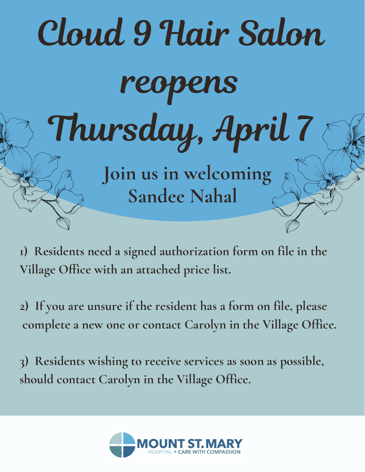

- **1) Residents need a signed authorization form on file in the Village Office with an attached price list.**
- **2) If you are unsure if the resident has a form on file, please complete a new one or contact Carolyn in the Village Office.**

**3) Residents wishing to receive services as soon as possible, should contact Carolyn in the Village Office.**

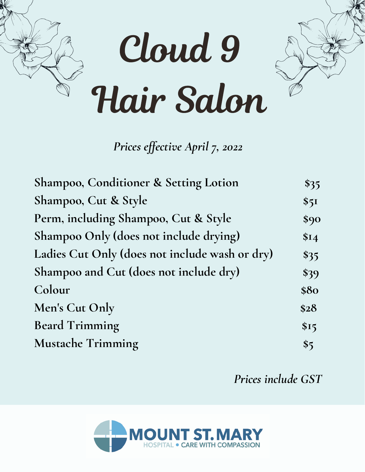

*Prices ef ective April 7, 2022*

| Shampoo, Conditioner & Setting Lotion          | $\$35$ |
|------------------------------------------------|--------|
| Shampoo, Cut & Style                           | \$51   |
| Perm, including Shampoo, Cut & Style           | \$90   |
| Shampoo Only (does not include drying)         | \$I4   |
| Ladies Cut Only (does not include wash or dry) | \$35   |
| Shampoo and Cut (does not include dry)         | \$39   |
| Colour                                         | \$80   |
| Men's Cut Only                                 | \$28   |
| <b>Beard Trimming</b>                          | \$15   |
| <b>Mustache Trimming</b>                       | \$5    |

*Prices include GST*